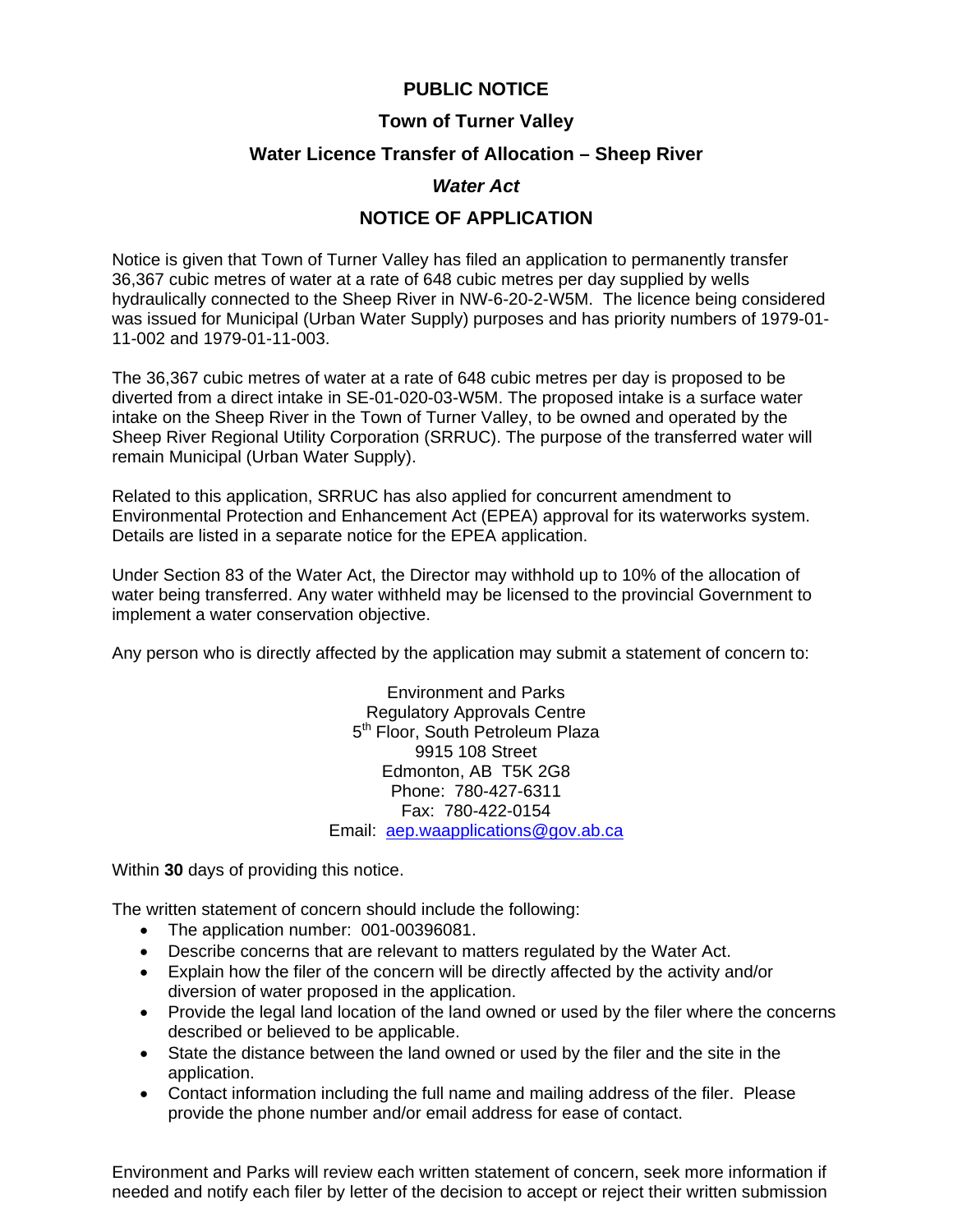# **PUBLIC NOTICE**

## **Town of Turner Valley**

#### **Water Licence Transfer of Allocation – Sheep River**

## *Water Act*

# **NOTICE OF APPLICATION**

Notice is given that Town of Turner Valley has filed an application to permanently transfer 36,367 cubic metres of water at a rate of 648 cubic metres per day supplied by wells hydraulically connected to the Sheep River in NW-6-20-2-W5M. The licence being considered was issued for Municipal (Urban Water Supply) purposes and has priority numbers of 1979-01- 11-002 and 1979-01-11-003.

The 36,367 cubic metres of water at a rate of 648 cubic metres per day is proposed to be diverted from a direct intake in SE-01-020-03-W5M. The proposed intake is a surface water intake on the Sheep River in the Town of Turner Valley, to be owned and operated by the Sheep River Regional Utility Corporation (SRRUC). The purpose of the transferred water will remain Municipal (Urban Water Supply).

Related to this application, SRRUC has also applied for concurrent amendment to Environmental Protection and Enhancement Act (EPEA) approval for its waterworks system. Details are listed in a separate notice for the EPEA application.

Under Section 83 of the Water Act, the Director may withhold up to 10% of the allocation of water being transferred. Any water withheld may be licensed to the provincial Government to implement a water conservation objective.

Any person who is directly affected by the application may submit a statement of concern to:

Environment and Parks Regulatory Approvals Centre 5<sup>th</sup> Floor, South Petroleum Plaza 9915 108 Street Edmonton, AB T5K 2G8 Phone: 780-427-6311 Fax: 780-422-0154 Email: aep.waapplications@gov.ab.ca

Within **30** days of providing this notice.

The written statement of concern should include the following:

- The application number: 001-00396081.
- Describe concerns that are relevant to matters regulated by the Water Act.
- Explain how the filer of the concern will be directly affected by the activity and/or diversion of water proposed in the application.
- Provide the legal land location of the land owned or used by the filer where the concerns described or believed to be applicable.
- State the distance between the land owned or used by the filer and the site in the application.
- Contact information including the full name and mailing address of the filer. Please provide the phone number and/or email address for ease of contact.

Environment and Parks will review each written statement of concern, seek more information if needed and notify each filer by letter of the decision to accept or reject their written submission